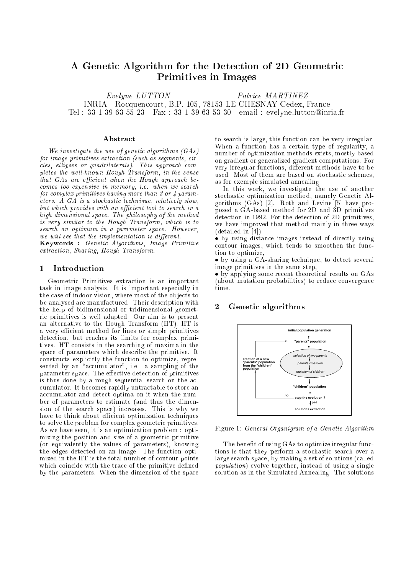# A Genetic Algorithm for the Detection of 2D Geometric Primitives in Images

Evelyne LUTTON Patrice MARTINEZ INRIA - Rocquencourt, B.P. 105, 78153 LE CHESNAY Cedex, France Tel : 33 1 39 63 55 23 - Fax : 33 1 39 63 53 30 - email : evelyne.lutton@inria.fr

## Abstract

We investigate the use of genetic algorithms  $(GAs)$ for image primitives extraction (such as segments, circles, el lipses or quadrilaterals). This approach completes the well-known Hough Transform, in the sense that  $GAs$  are efficient when the Hough approach becomes too expensive in memory, i.e. when we search for complex primitives having more than  $3$  or  $4$  parameters. A GA is a stochastic technique, relatively slow, but which provides with an efficient tool to search in a high dimensional space. The philosophy of the method is very similar to the Hough Transform, which is to search an optimum in a parameter space. However, we will see that the implementation is different.

Keywords : Genetic Algorithms, Image Primitive extraction, Sharing, Hough Transform.

# 1 Introduction

Geometric Primitives extraction is an important task in image analysis. It is important especially in the case of indoor vision, where most of the ob jects to be analysed are manufactured. Their description with the help of bidimensional or tridimensional geometric primitives is well adapted. Our aim is to present an alternative to the Hough Transform (HT). HT is a very efficient method for lines or simple primitives detection, but reaches its limits for complex primitives. HT consists in the searching of maxima in the space of parameters which describe the primitive. It constructs explicitly the function to optimize, represented by an "accumulator", i.e. a sampling of the parameter space. The effective detection of primitives is thus done by a rough sequential search on the accumulator. It becomes rapidly untractable to store an accumulator and detect optima on it when the number of parameters to estimate (and thus the dimensional terms of parameters the dimensional terms of the dimen sion of the search space) increases. This is why we have to think about efficient optimization techniques to solve the problem for complex geometric primitives. As we have seen, it is an optimization problem : optimizing the position and size of a geometric primitive (or equivalently the values of parameters), knowing the edges detected on an image. The function optimized in the HT is the total number of contour points which coincide with the trace of the primitive defined by the parameters. When the dimension of the space

to search is large, this function can be very irregular. When a function has a certain type of regularity, a number of optimization methods exists, mostly based on gradient or generalized gradient computations. For very irregular functions, different methods have to be used. Most of them are based on stochastic schemes, as for exemple simulated annealing.

In this work, we investigate the use of another stochastic optimization method, namely Genetic Al- $\alpha$  . Roth and  $\alpha$  is the contract and Leving probability probability  $\rho$  is the proof of  $\alpha$ posed a GA-based method for 2D and 3D primitives detection in 1992. For the detection of 2D primitives, we have improved that method mainly in three ways (detailed in [4]) :

 by using distance images instead of directly using contour images, which tends to smoothen the function to optimize,

 by using a GA-sharing technique, to detect several image primitives in the same step,

 by applying some recent theoretical results on GAs (about mutation probabilities) to reduce convergence

#### $\overline{2}$ Genetic algorithms



Figure 1: General Organigram of a Genetic Algorithm

The benefit of using GAs to optimize irregular functions is that they perform a stochastic search over a large search space, by making a set of solutions (called population) evolve together, instead of using a single solution as in the Simulated Annealing. The solutions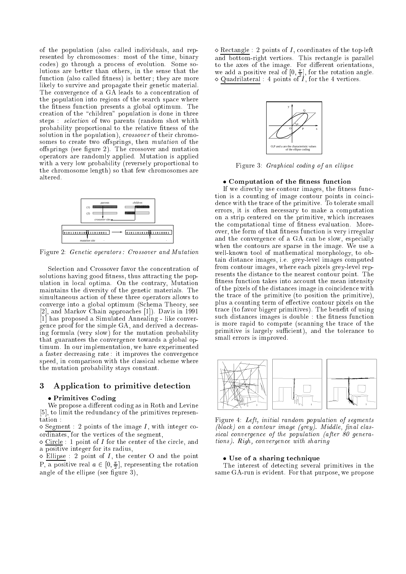of the population (also called individuals, and represented by chromosomes: most of the time, binary codes) go through a process of evolution. Some solutions are better than others, in the sense that the function (also called fitness) is better; they are more likely to survive and propagate their genetic material. The convergence of a GA leads to a concentration of the population into regions of the search space where the fitness function presents a global optimum. The creation of the "children" population is done in three steps : selection of two parents (random shot whith probability proportional to the relative fitness of the solution in the population), *crossover* of their chromosomes to create two offsprings, then mutation of the offsprings (see figure 2). The crossover and mutation operators are randomly applied. Mutation is applied with a very low probability (reversely proportional to the chromosome length) so that few chromosomes are altered.



Figure 2: Genetic operators : Crossover and Mutation

Selection and Crossover favor the concentration of solutions having good fitness, thus attracting the population in local optima. On the contrary, Mutation maintains the diversity of the genetic materials. The simultaneous action of these three operators allows to converge into a global optimum (Schema Theory, see [2], and Markov Chain approaches [1]). Davis in 1991 [1] has proposed a Simulated Annealing - like convergence proof for the simple GA, and derived a decreasing formula (very slow) for the mutation probability that guarantees the convergence towards a global optimum. In our implementation, we have experimented a faster decreasing rate : it improves the convergence speed, in comparison with the classical scheme where the mutation probability stays constant.

# 3 Application to primitive detection

#### Primitives Coding

We propose a different coding as in Roth and Levine [5], to limit the redundancy of the primitives representation:

 $\circ$  Segment : 2 points of the image I, with integer coordinates, for the vertices of the segment,

 $\Diamond$  Circle : 1 point of I for the center of the circle, and a positive integer for its radius,

 $\diamond$  Ellipse : 2 point of *I*, the center O and the point P, a positive real  $a \in [0, \frac{1}{6}]$ , representing the rotation angle of the element (see magnetic ),

 $\Diamond$  Rectangle : 2 points of *I*, coordinates of the top-left and bottom-right vertices. This rectangle is parallel to the axes of the image. For dierent orientations,  $\mathbf{f}$  the image of the image. For dierent orientations,  $\mathbf{f}$ we add a positive real of  $[0, \frac{1}{2}]$ , for the rotation angle. Quadrilateral : 4 points of <sup>I</sup> , for the 4 vertices.



Figure 3: Graphical coding of an ellipse

### $\bullet$  Computation of the fitness function

If we directly use contour images, the fitness function is a counting of image contour points in coincidence with the trace of the primitive. To tolerate small errors, it is often necessary to make a computation on a strip centered on the primitive, which increases the computational time of fitness evaluation. Moreover, the form of that fitness function is very irregular and the convergence of a GA can be slow, especially when the contours are sparse in the image. We use a well-known tool of mathematical morphology, to obtain distance images, i.e. grey-level images computed from contour images, where each pixels grey-level represents the distance to the nearest contour point. The fitness function takes into account the mean intensity of the pixels of the distances image in coincidence with the trace of the primitive (to position the primitive), plus a counting term of effective contour pixels on the trace (to favor bigger primitives). The benefit of using such distances images is double: the fitness function is more rapid to compute (scanning the trace of the primitive is largely sufficient), and the tolerance to small errors is improved.



Figure 4: Left, initial random population of segments  $(b \bar l a c k)$  on a contour image (grey). Middle, final classical convergence of the population (after 80 generations). Righ, convergence with sharing

### Use of <sup>a</sup> sharing technique

The interest of detecting several primitives in the same GA-run is evident. For that purpose, we propose